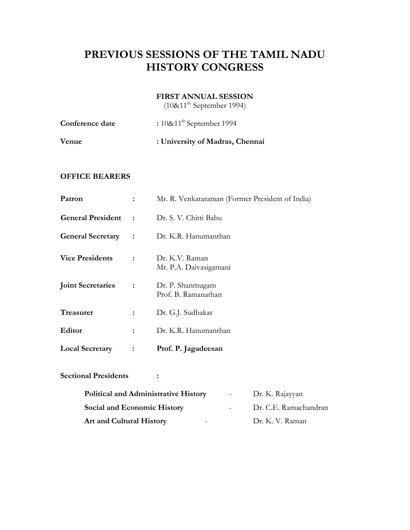## **PREVIOUS SESSIONS OF THE TAMIL NADU HISTORY CONGRESS**

#### **FIRST ANNUAL SESSION**

(10 $&$ 11<sup>th</sup> September 1994)

| Conference date | : $10\&11th$ September 1994     |
|-----------------|---------------------------------|
| <b>Venue</b>    | : University of Madras, Chennai |

#### **OFFICE BEARERS**

| Patron                   |                | Mr. R. Venkataraman (Former President of India) |
|--------------------------|----------------|-------------------------------------------------|
| <b>General President</b> | $\ddot{\cdot}$ | Dr. S. V. Chitti Babu                           |
| <b>General Secretary</b> | $\ddot{\cdot}$ | Dr. K.R. Hanumanthan                            |
| <b>Vice Presidents</b>   | $\ddot{\cdot}$ | Dr. K.V. Raman<br>Mr. P.A. Daivasigamani        |
| <b>Joint Secretaries</b> | $\ddot{\cdot}$ | Dr. P. Shanmugam<br>Prof. B. Ramanathan         |
| Treasurer                | $\ddot{\cdot}$ | Dr. G.J. Sudhakar                               |
| Editor                   | ፡              | Dr. K.R. Hanumanthan                            |
| <b>Local Secretary</b>   | ፡              | Prof. P. Jagadeesan                             |

#### **Sectional Presidents :**

| <b>Political and Administrative History</b> | $\equiv$         | Dr. K. Rajayyan       |
|---------------------------------------------|------------------|-----------------------|
| Social and Economic History                 | $\sim$ 10 $\sim$ | Dr. C.E. Ramachandran |
| <b>Art and Cultural History</b>             | -                | Dr. K. V. Raman       |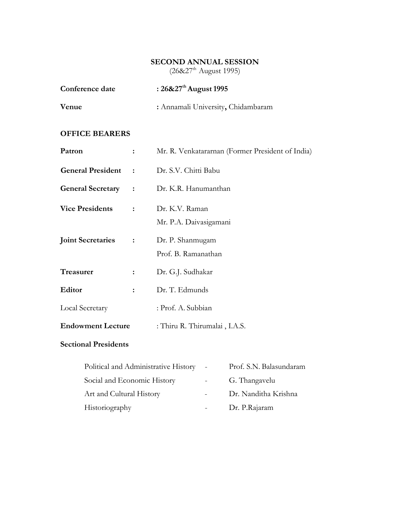## **SECOND ANNUAL SESSION**

 $(26&27<sup>th</sup>$  August 1995)

| Conference date | : $26\&27^{\rm th}$ August 1995    |
|-----------------|------------------------------------|
| Venue           | : Annamali University, Chidambaram |

## **OFFICE BEARERS**

| Patron                   |                      | Mr. R. Venkatararnan (Former President of India) |
|--------------------------|----------------------|--------------------------------------------------|
| <b>General President</b> | $\ddot{\phantom{0}}$ | Dr. S.V. Chitti Babu                             |
| <b>General Secretary</b> |                      | Dr. K.R. Hanumanthan                             |
| <b>Vice Presidents</b>   |                      | Dr. K.V. Raman                                   |
|                          |                      | Mr. P.A. Daivasigamani                           |
| <b>Joint Secretaries</b> | $\ddot{\cdot}$       | Dr. P. Shanmugam                                 |
|                          |                      | Prof. B. Ramanathan                              |
| <b>Treasurer</b>         | $\ddot{\cdot}$       | Dr. G.J. Sudhakar                                |
| Editor                   | $\ddot{\cdot}$       | Dr. T. Edmunds                                   |
| Local Secretary          |                      | : Prof. A. Subbian                               |
| <b>Endowment Lecture</b> |                      | : Thiru R. Thirumalai, I.A.S.                    |

### **Sectional Presidents**

| Political and Administrative History | $\sim$ $-$ | Prof. S.N. Balasundaram |
|--------------------------------------|------------|-------------------------|
| Social and Economic History          | $\sim 100$ | G. Thangavelu           |
| Art and Cultural History             |            | Dr. Nanditha Krishna    |
| Historiography                       |            | Dr. P.Rajaram           |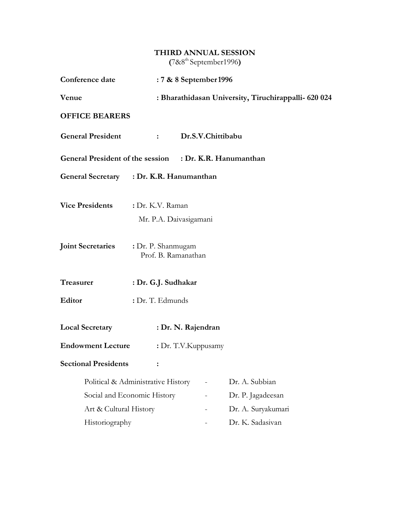### **THIRD ANNUAL SESSION (**7&8th September1996**)**

| Conference date                                         | : 7 & 8 September 1996                                            |  |                                                                               |  |  |
|---------------------------------------------------------|-------------------------------------------------------------------|--|-------------------------------------------------------------------------------|--|--|
| Venue                                                   | : Bharathidasan University, Tiruchirappalli- 620 024              |  |                                                                               |  |  |
| <b>OFFICE BEARERS</b>                                   |                                                                   |  |                                                                               |  |  |
| <b>General President</b>                                | Dr.S.V.Chittibabu<br>$\mathbf{1}$                                 |  |                                                                               |  |  |
| General President of the session : Dr. K.R. Hanumanthan |                                                                   |  |                                                                               |  |  |
| General Secretary : Dr. K.R. Hanumanthan                |                                                                   |  |                                                                               |  |  |
| <b>Vice Presidents</b>                                  | : Dr. K.V. Raman<br>Mr. P.A. Daivasigamani                        |  |                                                                               |  |  |
| <b>Joint Secretaries</b>                                | : Dr. P. Shanmugam<br>Prof. B. Ramanathan                         |  |                                                                               |  |  |
| Treasurer                                               | : Dr. G.J. Sudhakar                                               |  |                                                                               |  |  |
| Editor                                                  | : Dr. T. Edmunds                                                  |  |                                                                               |  |  |
| <b>Local Secretary</b>                                  | : Dr. N. Rajendran                                                |  |                                                                               |  |  |
| <b>Endowment Lecture</b>                                | : Dr. T.V.Kuppusamy                                               |  |                                                                               |  |  |
| <b>Sectional Presidents</b>                             | ፡                                                                 |  |                                                                               |  |  |
| Art & Cultural History<br>Historiography                | Political & Administrative History<br>Social and Economic History |  | Dr. A. Subbian<br>Dr. P. Jagadeesan<br>Dr. A. Suryakumari<br>Dr. K. Sadasivan |  |  |
|                                                         |                                                                   |  |                                                                               |  |  |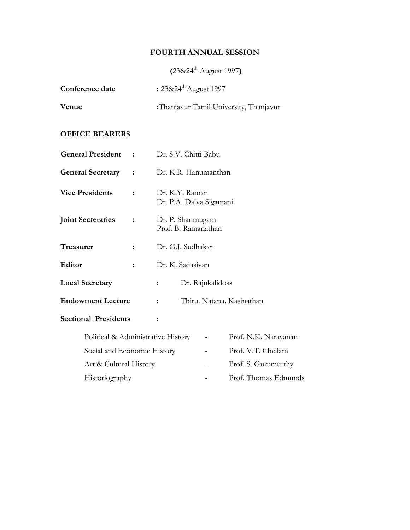#### **FOURTH ANNUAL SESSION**

**(**23&24th August 1997**)**

| Conference date | : $23824^{\text{th}}$ August 1997      |
|-----------------|----------------------------------------|
| Venue           | :Thanjavur Tamil University, Thanjavur |

#### **OFFICE BEARERS**

| <b>General President</b>           |                | Dr. S.V. Chitti Babu                    |                         |                           |
|------------------------------------|----------------|-----------------------------------------|-------------------------|---------------------------|
| <b>General Secretary</b>           | $\ddot{\cdot}$ |                                         | Dr. K.R. Hanumanthan    |                           |
| <b>Vice Presidents</b>             | $\cdot$        | Dr. K.Y. Raman                          | Dr. P.A. Daiva Sigamani |                           |
| <b>Joint Secretaries</b>           | :              | Dr. P. Shanmugam<br>Prof. B. Ramanathan |                         |                           |
| Treasurer                          | $\ddot{\cdot}$ | Dr. G.J. Sudhakar                       |                         |                           |
| Editor                             | :              | Dr. K. Sadasiyan                        |                         |                           |
| <b>Local Secretary</b>             |                | $\ddot{\cdot}$                          | Dr. Rajukalidoss        |                           |
| <b>Endowment Lecture</b>           |                | $\ddot{\cdot}$                          |                         | Thiru. Natana. Kasinathan |
| <b>Sectional Presidents</b>        |                | $\ddot{\cdot}$                          |                         |                           |
| Political & Administrative History |                |                                         |                         | Prof. N.K. Narayanan      |
| Social and Economic History        |                |                                         |                         | Prof. V.T. Chellam        |
| Art & Cultural History             |                |                                         |                         | Prof. S. Gurumurthy       |
| Historiography                     |                |                                         |                         | Prof. Thomas Edmunds      |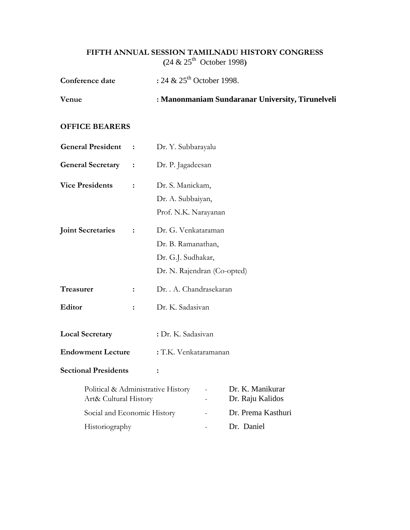#### **FIFTH ANNUAL SESSION TAMILNADU HISTORY CONGRESS (**24 & 25th October 1998**)**

| <b>Venue</b>    | : Manonmaniam Sundaranar University, Tirunelveli |
|-----------------|--------------------------------------------------|
| Conference date | : 24 & $25^{\text{th}}$ October 1998.            |

#### **OFFICE BEARERS**

|                  | <b>General President</b>                                    | :              | Dr. Y. Subbarayalu          |                                      |
|------------------|-------------------------------------------------------------|----------------|-----------------------------|--------------------------------------|
|                  | <b>General Secretary</b>                                    | :              | Dr. P. Jagadeesan           |                                      |
|                  | <b>Vice Presidents</b>                                      | $\ddot{\cdot}$ | Dr. S. Manickam,            |                                      |
|                  |                                                             |                | Dr. A. Subbaiyan,           |                                      |
|                  |                                                             |                | Prof. N.K. Narayanan        |                                      |
|                  | <b>Joint Secretaries</b>                                    | :              | Dr. G. Venkataraman         |                                      |
|                  |                                                             |                | Dr. B. Ramanathan,          |                                      |
|                  |                                                             |                | Dr. G.J. Sudhakar,          |                                      |
|                  |                                                             |                | Dr. N. Rajendran (Co-opted) |                                      |
| <b>Treasurer</b> |                                                             | $\ddot{\cdot}$ | Dr. . A. Chandrasekaran     |                                      |
| Editor           |                                                             | :              | Dr. K. Sadasiyan            |                                      |
|                  | <b>Local Secretary</b>                                      |                | : Dr. K. Sadasivan          |                                      |
|                  | <b>Endowment Lecture</b>                                    |                | : T.K. Venkataramanan       |                                      |
|                  | <b>Sectional Presidents</b>                                 |                | $\ddot{\cdot}$              |                                      |
|                  | Political & Administrative History<br>Art& Cultural History |                |                             | Dr. K. Manikurar<br>Dr. Raju Kalidos |
|                  | Social and Economic History                                 |                |                             | Dr. Prema Kasthuri                   |
|                  | Historiography                                              |                |                             | Dr. Daniel                           |
|                  |                                                             |                |                             |                                      |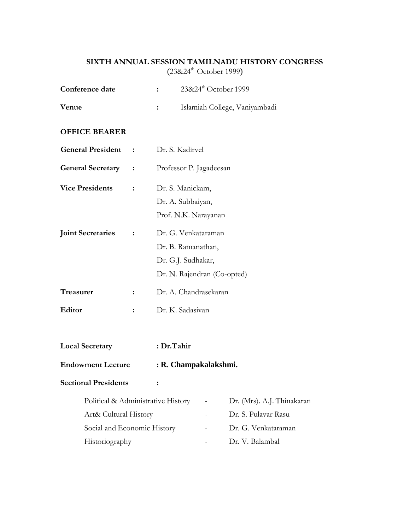#### **SIXTH ANNUAL SESSION TAMILNADU HISTORY CONGRESS** (23&24<sup>th</sup> October 1999)

| Conference date                    |                |                             | 23&24 <sup>th</sup> October 1999 |                            |  |
|------------------------------------|----------------|-----------------------------|----------------------------------|----------------------------|--|
| Venue                              |                | :                           | Islamiah College, Vaniyambadi    |                            |  |
| <b>OFFICE BEARER</b>               |                |                             |                                  |                            |  |
| <b>General President</b>           | $\mathbf{r}$   | Dr. S. Kadirvel             |                                  |                            |  |
| <b>General Secretary :</b>         |                | Professor P. Jagadeesan     |                                  |                            |  |
| <b>Vice Presidents</b>             | :              | Dr. S. Manickam,            |                                  |                            |  |
|                                    |                | Dr. A. Subbaiyan,           |                                  |                            |  |
|                                    |                | Prof. N.K. Narayanan        |                                  |                            |  |
| <b>Joint Secretaries</b>           | :              | Dr. G. Venkataraman         |                                  |                            |  |
|                                    |                | Dr. B. Ramanathan,          |                                  |                            |  |
|                                    |                | Dr. G.J. Sudhakar,          |                                  |                            |  |
|                                    |                | Dr. N. Rajendran (Co-opted) |                                  |                            |  |
| <b>Treasurer</b>                   | $\ddot{\cdot}$ | Dr. A. Chandrasekaran       |                                  |                            |  |
| <b>Editor</b>                      | :              |                             | Dr. K. Sadasivan                 |                            |  |
| <b>Local Secretary</b>             |                | : Dr.Tahir                  |                                  |                            |  |
| <b>Endowment Lecture</b>           |                | : R. Champakalakshmi.       |                                  |                            |  |
|                                    |                |                             |                                  |                            |  |
| <b>Sectional Presidents</b>        |                |                             |                                  |                            |  |
| Political & Administrative History |                |                             |                                  | Dr. (Mrs). A.J. Thinakaran |  |
| Art& Cultural History              |                |                             | Dr. S. Pulavar Rasu              |                            |  |
| Social and Economic History        |                |                             |                                  | Dr. G. Venkataraman        |  |
| Historiography                     |                |                             |                                  | Dr. V. Balambal            |  |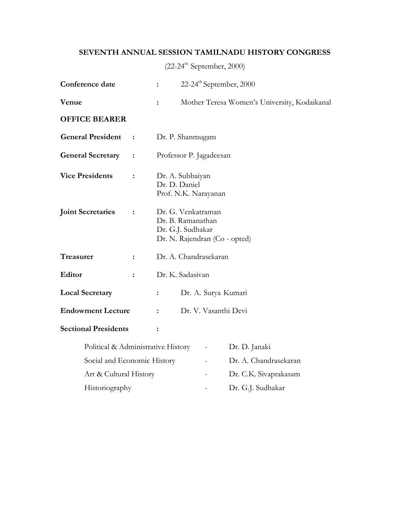## **SEVENTH ANNUAL SESSION TAMILNADU HISTORY CONGRESS**

 $(22-24^{\text{th}}$  September, 2000)

| Conference date                    |                | $22-24^{\text{th}}$ September, 2000<br>:                                                      |  |  |  |  |
|------------------------------------|----------------|-----------------------------------------------------------------------------------------------|--|--|--|--|
| Venue                              |                | Mother Teresa Women's University, Kodaikanal<br>$\ddot{\cdot}$                                |  |  |  |  |
| <b>OFFICE BEARER</b>               |                |                                                                                               |  |  |  |  |
| <b>General President</b>           | $\ddot{\cdot}$ | Dr. P. Shanmugam                                                                              |  |  |  |  |
| <b>General Secretary</b>           | :              | Professor P. Jagadeesan                                                                       |  |  |  |  |
| <b>Vice Presidents</b>             | $\ddot{\cdot}$ | Dr. A. Subbaiyan<br>Dr. D. Daniel<br>Prof. N.K. Narayanan                                     |  |  |  |  |
| <b>Joint Secretaries</b>           | :              | Dr. G. Venkatraman<br>Dr. B. Ramanathan<br>Dr. G.J. Sudhakar<br>Dr. N. Rajendran (Co - opted) |  |  |  |  |
| <b>Treasurer</b>                   | :              | Dr. A. Chandrasekaran                                                                         |  |  |  |  |
| Editor                             | $\ddot{\cdot}$ | Dr. K. Sadasivan                                                                              |  |  |  |  |
| <b>Local Secretary</b>             |                | Dr. A. Surya Kumari<br>:                                                                      |  |  |  |  |
| <b>Endowment Lecture</b>           |                | Dr. V. Vasanthi Devi<br>$\ddot{\cdot}$                                                        |  |  |  |  |
| <b>Sectional Presidents</b>        |                | :                                                                                             |  |  |  |  |
| Political & Administrative History |                | Dr. D. Janaki<br>$\overline{\phantom{0}}$                                                     |  |  |  |  |
| Social and Economic History        |                | Dr. A. Chandrasekaran                                                                         |  |  |  |  |
| Art & Cultural History             |                | Dr. C.K. Sivaprakasam                                                                         |  |  |  |  |
| Historiography                     |                | Dr. G.J. Sudhakar                                                                             |  |  |  |  |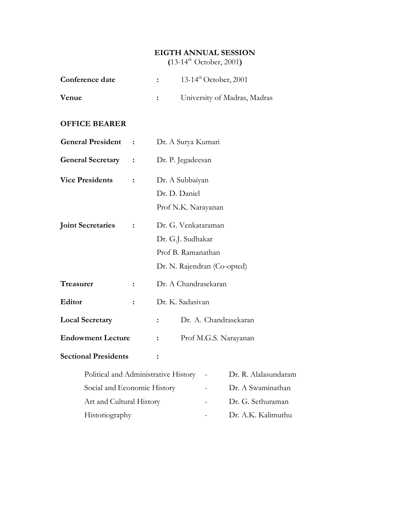#### **EIGTH ANNUAL SESSION**

**(**13-14th October, 2001**)**

| Conference date                      |                | $\ddot{\cdot}$ |                                                                | 13-14 <sup>th</sup> October, 2001 |
|--------------------------------------|----------------|----------------|----------------------------------------------------------------|-----------------------------------|
| Venue                                |                | :              |                                                                | University of Madras, Madras      |
| <b>OFFICE BEARER</b>                 |                |                |                                                                |                                   |
| <b>General President</b>             | :              |                | Dr. A Surya Kumari                                             |                                   |
| <b>General Secretary</b>             | :              |                | Dr. P. Jegadeesan                                              |                                   |
| <b>Vice Presidents</b>               | $\ddot{\cdot}$ |                | Dr. A Subbaiyan<br>Dr. D. Daniel                               |                                   |
|                                      |                |                | Prof N.K. Narayanan                                            |                                   |
| <b>Joint Secretaries</b>             | $\ddot{\cdot}$ |                | Dr. G. Venkataraman<br>Dr. G.J. Sudhakar<br>Prof B. Ramanathan | Dr. N. Rajendran (Co-opted)       |
| Treasurer                            | $\ddot{\cdot}$ |                | Dr. A Chandrasekaran                                           |                                   |
| Editor                               | $\ddot{\cdot}$ |                | Dr. K. Sadasivan                                               |                                   |
| <b>Local Secretary</b>               |                | $\ddot{\cdot}$ |                                                                | Dr. A. Chandrasekaran             |
| <b>Endowment Lecture</b>             |                |                |                                                                | Prof M.G.S. Narayanan             |
| <b>Sectional Presidents</b>          |                | $\ddot{\cdot}$ |                                                                |                                   |
| Political and Administrative History |                |                |                                                                | Dr. R. Alalasundaram              |
| Social and Economic History          |                |                | Dr. A Swaminathan                                              |                                   |
| Art and Cultural History             |                |                |                                                                | Dr. G. Sethuraman                 |
| Historiography                       |                |                |                                                                | Dr. A.K. Kalimuthu                |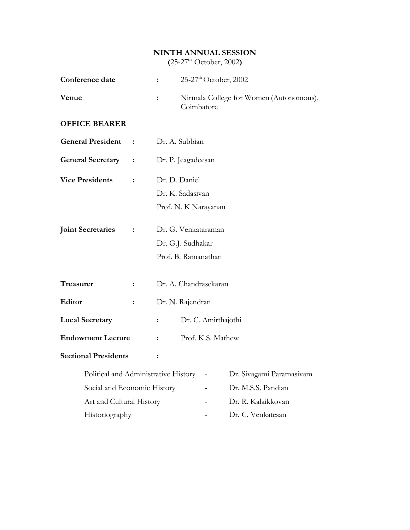## **NINTH ANNUAL SESSION**

**(**25-27th October, 2002**)**

| Conference date                      |                | $\ddot{\cdot}$        |            | $25-27$ <sup>th</sup> October, 2002 |                                         |
|--------------------------------------|----------------|-----------------------|------------|-------------------------------------|-----------------------------------------|
| <b>Venue</b>                         |                | ፡                     | Coimbatore |                                     | Nirmala College for Women (Autonomous), |
| <b>OFFICE BEARER</b>                 |                |                       |            |                                     |                                         |
| <b>General President</b>             | $\ddot{\cdot}$ | Dr. A. Subbian        |            |                                     |                                         |
| <b>General Secretary</b>             | :              | Dr. P. Jeagadeesan    |            |                                     |                                         |
| <b>Vice Presidents</b>               | $\ddot{\cdot}$ | Dr. D. Daniel         |            |                                     |                                         |
|                                      |                | Dr. K. Sadasiyan      |            |                                     |                                         |
|                                      |                | Prof. N. K Narayanan  |            |                                     |                                         |
| <b>Joint Secretaries</b>             | :              | Dr. G. Venkataraman   |            |                                     |                                         |
|                                      |                | Dr. G.J. Sudhakar     |            |                                     |                                         |
|                                      |                | Prof. B. Ramanathan   |            |                                     |                                         |
| Treasurer                            | :              | Dr. A. Chandrasekaran |            |                                     |                                         |
| Editor                               | :              | Dr. N. Rajendran      |            |                                     |                                         |
| <b>Local Secretary</b>               |                | $\ddot{\cdot}$        |            | Dr. C. Amirthajothi                 |                                         |
| <b>Endowment Lecture</b>             |                | $\ddot{\cdot}$        |            | Prof. K.S. Mathew                   |                                         |
| <b>Sectional Presidents</b>          |                |                       |            |                                     |                                         |
| Political and Administrative History |                |                       |            |                                     | Dr. Sivagami Paramasivam                |
| Social and Economic History          |                |                       |            |                                     | Dr. M.S.S. Pandian                      |
| Art and Cultural History             |                |                       |            |                                     | Dr. R. Kalaikkovan                      |
| Historiography                       |                |                       |            |                                     | Dr. C. Venkatesan                       |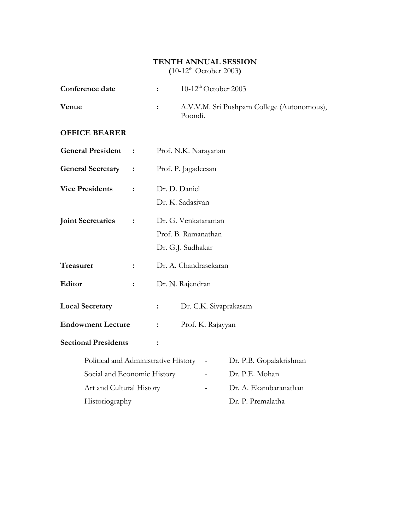## **TENTH ANNUAL SESSION**

**(**10-12th October 2003**)**

| Conference date                      |                | :                    |         | $10-12^{th}$ October 2003 |                                            |
|--------------------------------------|----------------|----------------------|---------|---------------------------|--------------------------------------------|
| Venue                                |                | :                    | Poondi. |                           | A.V.V.M. Sri Pushpam College (Autonomous), |
| <b>OFFICE BEARER</b>                 |                |                      |         |                           |                                            |
| <b>General President</b>             | :              | Prof. N.K. Narayanan |         |                           |                                            |
| <b>General Secretary</b>             | :              | Prof. P. Jagadeesan  |         |                           |                                            |
| <b>Vice Presidents</b>               | $\ddot{\cdot}$ | Dr. D. Daniel        |         |                           |                                            |
|                                      |                | Dr. K. Sadasivan     |         |                           |                                            |
| <b>Joint Secretaries</b>             | :              | Dr. G. Venkataraman  |         |                           |                                            |
|                                      |                | Prof. B. Ramanathan  |         |                           |                                            |
|                                      |                | Dr. G.J. Sudhakar    |         |                           |                                            |
| Treasurer                            | $\ddot{\cdot}$ |                      |         | Dr. A. Chandrasekaran     |                                            |
| Editor                               | :              | Dr. N. Rajendran     |         |                           |                                            |
| <b>Local Secretary</b>               |                | :                    |         |                           | Dr. C.K. Sivaprakasam                      |
| <b>Endowment Lecture</b>             |                | :                    |         | Prof. K. Rajayyan         |                                            |
| <b>Sectional Presidents</b>          |                | :                    |         |                           |                                            |
| Political and Administrative History |                |                      |         |                           | Dr. P.B. Gopalakrishnan                    |
| Social and Economic History          |                |                      |         | Dr. P.E. Mohan            |                                            |
| Art and Cultural History             |                |                      |         |                           | Dr. A. Ekambaranathan                      |
| Historiography                       |                |                      |         |                           | Dr. P. Premalatha                          |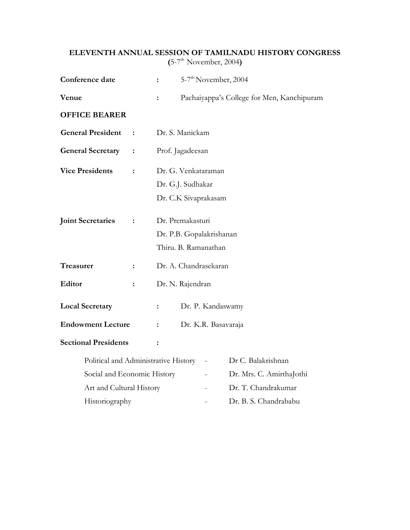#### **ELEVENTH ANNUAL SESSION OF TAMILNADU HISTORY CONGRESS (**5-7 th November, 2004**)**

| Conference date                      |                | $\ddot{\cdot}$       |  | $5-7th$ November, 2004   |                                            |
|--------------------------------------|----------------|----------------------|--|--------------------------|--------------------------------------------|
| Venue                                |                | :                    |  |                          | Pachaiyappa's College for Men, Kanchipuram |
| <b>OFFICE BEARER</b>                 |                |                      |  |                          |                                            |
| <b>General President</b>             | $\ddot{\cdot}$ | Dr. S. Manickam      |  |                          |                                            |
| <b>General Secretary</b>             | :              | Prof. Jagadeesan     |  |                          |                                            |
| <b>Vice Presidents</b>               | $\ddot{\cdot}$ | Dr. G. Venkataraman  |  |                          |                                            |
|                                      |                | Dr. G.J. Sudhakar    |  |                          |                                            |
|                                      |                |                      |  | Dr. C.K Sivaprakasam     |                                            |
| <b>Joint Secretaries</b>             | :              | Dr. Premakasturi     |  |                          |                                            |
|                                      |                |                      |  | Dr. P.B. Gopalakrishanan |                                            |
|                                      |                | Thiru. B. Ramanathan |  |                          |                                            |
| Treasurer                            | $\ddot{\cdot}$ |                      |  | Dr. A. Chandrasekaran    |                                            |
| Editor                               | $\ddot{\cdot}$ | Dr. N. Rajendran     |  |                          |                                            |
| <b>Local Secretary</b>               |                | $\ddot{\cdot}$       |  | Dr. P. Kandaswamy        |                                            |
| <b>Endowment Lecture</b>             |                | $\ddot{\cdot}$       |  | Dr. K.R. Basavaraja      |                                            |
| <b>Sectional Presidents</b>          |                | $\ddot{\cdot}$       |  |                          |                                            |
| Political and Administrative History |                |                      |  |                          | Dr C. Balakrishnan                         |
| Social and Economic History          |                |                      |  |                          | Dr. Mrs. C. AmirthaJothi                   |
| Art and Cultural History             |                |                      |  |                          | Dr. T. Chandrakumar                        |
| Historiography                       |                |                      |  |                          | Dr. B. S. Chandrababu                      |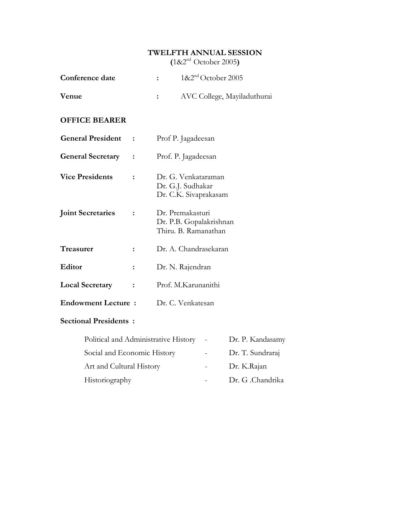#### **TWELFTH ANNUAL SESSION**

**(**1&2nd October 2005**)**

| Conference date                      |                |                     |                                                                     | 1&2 <sup>nd</sup> October 2005 |                             |  |  |
|--------------------------------------|----------------|---------------------|---------------------------------------------------------------------|--------------------------------|-----------------------------|--|--|
| Venue                                |                |                     |                                                                     |                                | AVC College, Mayiladuthurai |  |  |
| <b>OFFICE BEARER</b>                 |                |                     |                                                                     |                                |                             |  |  |
| <b>General President</b>             | $\ddot{\cdot}$ |                     | Prof P. Jagadeesan                                                  |                                |                             |  |  |
| <b>General Secretary</b>             | :              | Prof. P. Jagadeesan |                                                                     |                                |                             |  |  |
| <b>Vice Presidents</b>               |                |                     | Dr. G. Venkataraman<br>Dr. G.J. Sudhakar<br>Dr. C.K. Sivaprakasam   |                                |                             |  |  |
| <b>Joint Secretaries</b>             | :              |                     | Dr. Premakasturi<br>Dr. P.B. Gopalakrishnan<br>Thiru. B. Ramanathan |                                |                             |  |  |
| Treasurer                            | $\ddot{\cdot}$ |                     | Dr. A. Chandrasekaran                                               |                                |                             |  |  |
| Editor                               | $\ddot{\cdot}$ |                     | Dr. N. Rajendran                                                    |                                |                             |  |  |
| <b>Local Secretary</b>               |                |                     | Prof. M.Karunanithi                                                 |                                |                             |  |  |
| <b>Endowment Lecture:</b>            |                |                     | Dr. C. Venkatesan                                                   |                                |                             |  |  |
| <b>Sectional Presidents:</b>         |                |                     |                                                                     |                                |                             |  |  |
| Political and Administrative History |                |                     |                                                                     |                                | Dr. P. Kandasamy            |  |  |
| Social and Economic History          |                |                     |                                                                     |                                | Dr. T. Sundraraj            |  |  |
| Art and Cultural History             |                |                     |                                                                     |                                | Dr. K.Rajan                 |  |  |

Historiography - Dr. G .Chandrika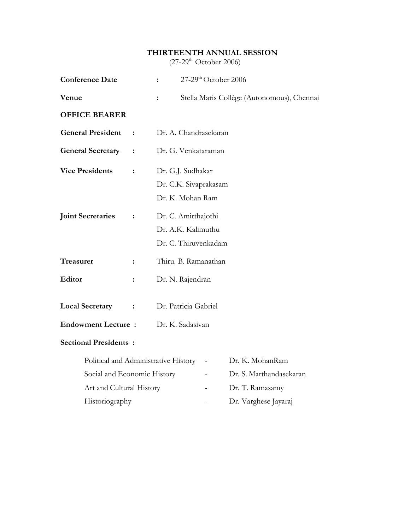#### **THIRTEENTH ANNUAL SESSION**

 $(27-29<sup>th</sup> October 2006)$ 

| <b>Conference Date</b>               |                | $\ddot{\cdot}$   | $27-29$ <sup>th</sup> October 2006 |                                            |
|--------------------------------------|----------------|------------------|------------------------------------|--------------------------------------------|
| Venue                                |                | :                |                                    | Stella Maris Collège (Autonomous), Chennai |
| <b>OFFICE BEARER</b>                 |                |                  |                                    |                                            |
| <b>General President</b>             | $\ddot{\cdot}$ |                  | Dr. A. Chandrasekaran              |                                            |
| <b>General Secretary</b>             | $\ddot{\cdot}$ |                  | Dr. G. Venkataraman                |                                            |
| <b>Vice Presidents</b>               | $\ddot{\cdot}$ |                  | Dr. G.J. Sudhakar                  |                                            |
|                                      |                |                  | Dr. C.K. Sivaprakasam              |                                            |
|                                      |                |                  | Dr. K. Mohan Ram                   |                                            |
| <b>Joint Secretaries</b>             | :              |                  | Dr. C. Amirthajothi                |                                            |
|                                      |                |                  | Dr. A.K. Kalimuthu                 |                                            |
|                                      |                |                  | Dr. C. Thiruvenkadam               |                                            |
| Treasurer                            | $\ddot{\cdot}$ |                  | Thiru. B. Ramanathan               |                                            |
| <b>Editor</b>                        | :              | Dr. N. Rajendran |                                    |                                            |
| <b>Local Secretary</b>               | :              |                  | Dr. Patricia Gabriel               |                                            |
| <b>Endowment Lecture:</b>            |                | Dr. K. Sadasiyan |                                    |                                            |
| <b>Sectional Presidents:</b>         |                |                  |                                    |                                            |
| Political and Administrative History |                |                  |                                    | Dr. K. MohanRam                            |
| Social and Economic History          |                |                  |                                    | Dr. S. Marthandasekaran                    |

- Art and Cultural History  **Pr. T. Ramasamy**
- Historiography Dr. Varghese Jayaraj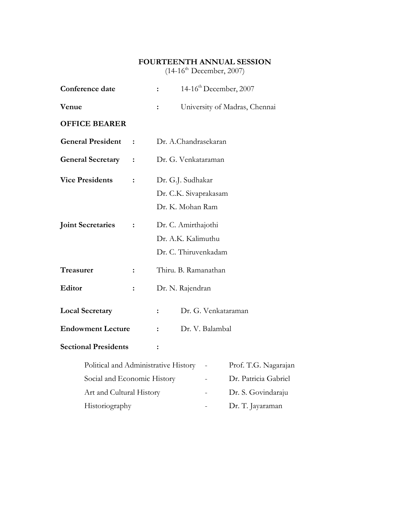## **FOURTEENTH ANNUAL SESSION**

 $(14-16^{th}$  December, 2007)

| Conference date                      |                | $\ddot{\cdot}$ |                       | 14-16 <sup>th</sup> December, 2007 |
|--------------------------------------|----------------|----------------|-----------------------|------------------------------------|
| <b>Venue</b>                         |                | ፡              |                       | University of Madras, Chennai      |
| <b>OFFICE BEARER</b>                 |                |                |                       |                                    |
| <b>General President</b>             | $\ddot{\cdot}$ |                | Dr. A.Chandrasekaran  |                                    |
| <b>General Secretary</b>             | :              |                | Dr. G. Venkataraman   |                                    |
| <b>Vice Presidents</b>               | $\ddot{\cdot}$ |                | Dr. G.J. Sudhakar     |                                    |
|                                      |                |                | Dr. C.K. Sivaprakasam |                                    |
|                                      |                |                | Dr. K. Mohan Ram      |                                    |
| <b>Joint Secretaries</b>             | :              |                | Dr. C. Amirthajothi   |                                    |
|                                      |                |                | Dr. A.K. Kalimuthu    |                                    |
|                                      |                |                | Dr. C. Thiruvenkadam  |                                    |
| Treasurer                            | $\ddot{\cdot}$ |                | Thiru. B. Ramanathan  |                                    |
| <b>Editor</b>                        | $\ddot{\cdot}$ |                | Dr. N. Rajendran      |                                    |
| <b>Local Secretary</b>               |                | :              |                       | Dr. G. Venkataraman                |
| <b>Endowment Lecture</b>             |                | $\ddot{\cdot}$ | Dr. V. Balambal       |                                    |
| <b>Sectional Presidents</b>          |                | $\ddot{\cdot}$ |                       |                                    |
| Political and Administrative History |                |                |                       | Prof. T.G. Nagarajan               |
| Social and Economic History          |                |                |                       | Dr. Patricia Gabriel               |
| Art and Cultural History             |                |                |                       | Dr. S. Govindaraju                 |
| Historiography                       |                |                |                       | Dr. T. Jayaraman                   |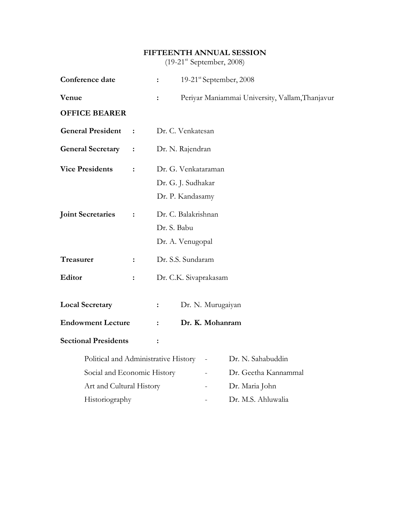#### **FIFTEENTH ANNUAL SESSION**

 $(19-21<sup>st</sup> September, 2008)$ 

| Conference date                      |                | 19-21 <sup>st</sup> September, 2008<br>$\ddot{\cdot}$ |  |  |  |
|--------------------------------------|----------------|-------------------------------------------------------|--|--|--|
| Venue                                |                | Periyar Maniammai University, Vallam, Thanjavur<br>:  |  |  |  |
| <b>OFFICE BEARER</b>                 |                |                                                       |  |  |  |
| <b>General President</b>             | $\ddot{\cdot}$ | Dr. C. Venkatesan                                     |  |  |  |
| <b>General Secretary</b>             | :              | Dr. N. Rajendran                                      |  |  |  |
| <b>Vice Presidents</b>               | $\ddot{\cdot}$ | Dr. G. Venkataraman                                   |  |  |  |
|                                      |                | Dr. G. J. Sudhakar                                    |  |  |  |
|                                      |                | Dr. P. Kandasamy                                      |  |  |  |
| <b>Joint Secretaries</b>             | $\ddot{\cdot}$ | Dr. C. Balakrishnan                                   |  |  |  |
|                                      |                | Dr. S. Babu                                           |  |  |  |
|                                      |                | Dr. A. Venugopal                                      |  |  |  |
| Treasurer                            | :              | Dr. S.S. Sundaram                                     |  |  |  |
| Editor                               | :              | Dr. C.K. Sivaprakasam                                 |  |  |  |
| <b>Local Secretary</b>               |                | Dr. N. Murugaiyan<br>:                                |  |  |  |
| <b>Endowment Lecture</b>             |                | Dr. K. Mohanram<br>$\ddot{\cdot}$                     |  |  |  |
| <b>Sectional Presidents</b>          |                | :                                                     |  |  |  |
| Political and Administrative History |                | Dr. N. Sahabuddin                                     |  |  |  |
| Social and Economic History          |                | Dr. Geetha Kannammal                                  |  |  |  |
| Art and Cultural History             |                | Dr. Maria John                                        |  |  |  |
| Historiography                       |                | Dr. M.S. Ahluwalia                                    |  |  |  |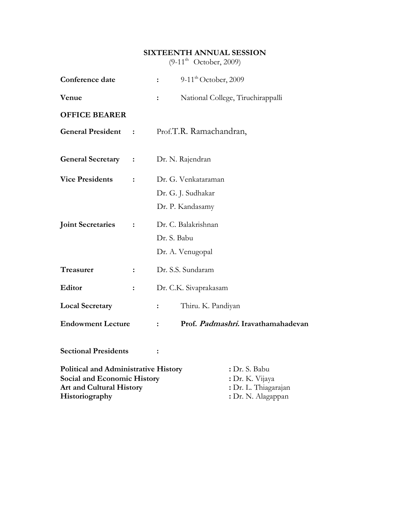#### **SIXTEENTH ANNUAL SESSION**

 $(9-11^{\text{th}} \text{ October}, 2009)$ 

| Conference date                                                                                                                 |                | $\ddot{\cdot}$ | 9-11 <sup>th</sup> October, 2009                                               |                                    |
|---------------------------------------------------------------------------------------------------------------------------------|----------------|----------------|--------------------------------------------------------------------------------|------------------------------------|
| Venue                                                                                                                           |                | $\ddot{\cdot}$ |                                                                                | National College, Tiruchirappalli  |
| <b>OFFICE BEARER</b>                                                                                                            |                |                |                                                                                |                                    |
| <b>General President</b>                                                                                                        | :              |                | Prof.T.R. Ramachandran,                                                        |                                    |
| <b>General Secretary</b>                                                                                                        | :              |                | Dr. N. Rajendran                                                               |                                    |
| <b>Vice Presidents</b>                                                                                                          | $\ddot{\cdot}$ |                | Dr. G. Venkataraman                                                            |                                    |
|                                                                                                                                 |                |                | Dr. G. J. Sudhakar                                                             |                                    |
|                                                                                                                                 |                |                | Dr. P. Kandasamy                                                               |                                    |
| <b>Joint Secretaries</b>                                                                                                        | $\ddot{\cdot}$ |                | Dr. C. Balakrishnan                                                            |                                    |
|                                                                                                                                 |                | Dr. S. Babu    |                                                                                |                                    |
|                                                                                                                                 |                |                | Dr. A. Venugopal                                                               |                                    |
| Treasurer                                                                                                                       | $\ddot{\cdot}$ |                | Dr. S.S. Sundaram                                                              |                                    |
| Editor                                                                                                                          | $\ddot{\cdot}$ |                | Dr. C.K. Sivaprakasam                                                          |                                    |
| <b>Local Secretary</b>                                                                                                          |                | ፡              | Thiru. K. Pandiyan                                                             |                                    |
| <b>Endowment Lecture</b>                                                                                                        |                | $\ddot{\cdot}$ |                                                                                | Prof. Padmashri. Iravathamahadevan |
| <b>Sectional Presidents</b>                                                                                                     |                | $\ddot{\cdot}$ |                                                                                |                                    |
| <b>Political and Administrative History</b><br>Social and Economic History<br><b>Art and Cultural History</b><br>Historiography |                |                | : Dr. S. Babu<br>: Dr. K. Vijaya<br>: Dr. L. Thiagarajan<br>: Dr. N. Alagappan |                                    |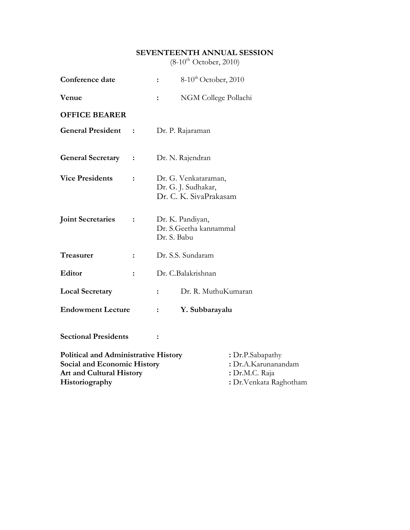#### **SEVENTEENTH ANNUAL SESSION**

 $(8-10^{th}$  October, 2010)

| Conference date                                                                                                                        |                | $\ddot{\cdot}$ | $8-10^{th}$ October, 2010                                                            |  |
|----------------------------------------------------------------------------------------------------------------------------------------|----------------|----------------|--------------------------------------------------------------------------------------|--|
| Venue                                                                                                                                  |                | $\ddot{\cdot}$ | NGM College Pollachi                                                                 |  |
| <b>OFFICE BEARER</b>                                                                                                                   |                |                |                                                                                      |  |
| <b>General President</b>                                                                                                               | $\ddot{\cdot}$ |                | Dr. P. Rajaraman                                                                     |  |
| <b>General Secretary</b>                                                                                                               | :              |                | Dr. N. Rajendran                                                                     |  |
| <b>Vice Presidents</b>                                                                                                                 | $\ddot{\cdot}$ |                | Dr. G. Venkataraman,<br>Dr. G. J. Sudhakar,<br>Dr. C. K. SivaPrakasam                |  |
| <b>Joint Secretaries</b>                                                                                                               | :              | Dr. S. Babu    | Dr. K. Pandiyan,<br>Dr. S.Geetha kannammal                                           |  |
| Treasurer                                                                                                                              | :              |                | Dr. S.S. Sundaram                                                                    |  |
| Editor                                                                                                                                 | $\ddot{\cdot}$ |                | Dr. C.Balakrishnan                                                                   |  |
| <b>Local Secretary</b>                                                                                                                 |                | $\ddot{\cdot}$ | Dr. R. MuthuKumaran                                                                  |  |
| <b>Endowment Lecture</b>                                                                                                               |                | ፡              | Y. Subbarayalu                                                                       |  |
| <b>Sectional Presidents</b>                                                                                                            |                |                |                                                                                      |  |
| <b>Political and Administrative History</b><br><b>Social and Economic History</b><br><b>Art and Cultural History</b><br>Historiography |                |                | : Dr.P.Sabapathy<br>: Dr.A.Karunanandam<br>: Dr.M.C. Raja<br>: Dr. Venkata Raghotham |  |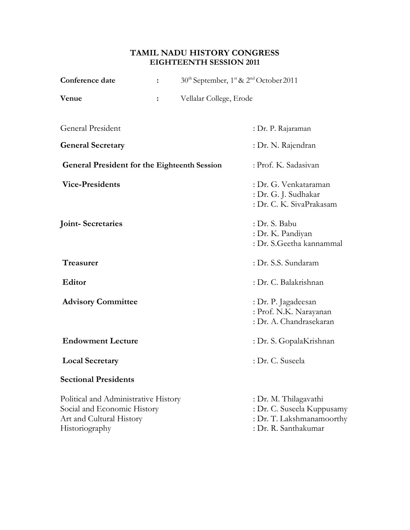#### **TAMIL NADU HISTORY CONGRESS EIGHTEENTH SESSION 2011**

| Conference date                                                                                                   | $\ddot{\cdot}$ |                         | $30th$ September, $1st$ & $2nd$ October 2011                                                             |
|-------------------------------------------------------------------------------------------------------------------|----------------|-------------------------|----------------------------------------------------------------------------------------------------------|
| Venue                                                                                                             | :              | Vellalar College, Erode |                                                                                                          |
| <b>General President</b>                                                                                          |                |                         | : Dr. P. Rajaraman                                                                                       |
| <b>General Secretary</b>                                                                                          |                |                         | : Dr. N. Rajendran                                                                                       |
| <b>General President for the Eighteenth Session</b>                                                               |                |                         | : Prof. K. Sadasiyan                                                                                     |
| <b>Vice-Presidents</b>                                                                                            |                |                         | : Dr. G. Venkataraman<br>: Dr. G. J. Sudhakar<br>: Dr. C. K. SivaPrakasam                                |
| <b>Joint-Secretaries</b>                                                                                          |                |                         | : Dr. S. Babu<br>: Dr. K. Pandiyan<br>: Dr. S.Geetha kannammal                                           |
| Treasurer                                                                                                         |                |                         | : Dr. S.S. Sundaram                                                                                      |
| <b>Editor</b>                                                                                                     |                |                         | : Dr. C. Balakrishnan                                                                                    |
| <b>Advisory Committee</b>                                                                                         |                |                         | : Dr. P. Jagadeesan<br>: Prof. N.K. Narayanan<br>: Dr. A. Chandrasekaran                                 |
| <b>Endowment Lecture</b>                                                                                          |                |                         | : Dr. S. GopalaKrishnan                                                                                  |
| <b>Local Secretary</b>                                                                                            |                |                         | : Dr. C. Suseela                                                                                         |
| <b>Sectional Presidents</b>                                                                                       |                |                         |                                                                                                          |
| Political and Administrative History<br>Social and Economic History<br>Art and Cultural History<br>Historiography |                |                         | : Dr. M. Thilagavathi<br>: Dr. C. Suseela Kuppusamy<br>: Dr. T. Lakshmanamoorthy<br>: Dr. R. Santhakumar |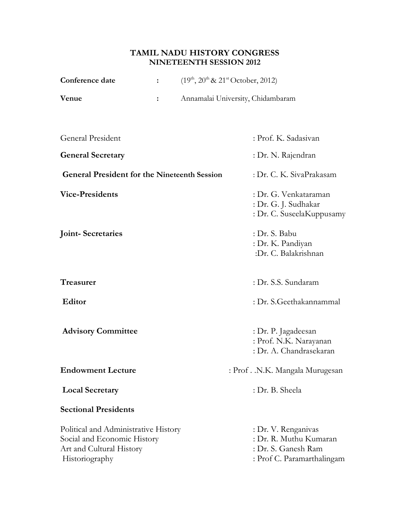## **TAMIL NADU HISTORY CONGRESS NINETEENTH SESSION 2012**

| Conference date                                                                                                   | $\ddot{\cdot}$                                      | $(19th, 20th \& 21st October, 2012)$                                                               |  |
|-------------------------------------------------------------------------------------------------------------------|-----------------------------------------------------|----------------------------------------------------------------------------------------------------|--|
| Venue                                                                                                             | Annamalai University, Chidambaram<br>$\ddot{\cdot}$ |                                                                                                    |  |
|                                                                                                                   |                                                     |                                                                                                    |  |
| <b>General President</b>                                                                                          |                                                     | : Prof. K. Sadasiyan                                                                               |  |
| <b>General Secretary</b>                                                                                          |                                                     | : Dr. N. Rajendran                                                                                 |  |
| <b>General President for the Nineteenth Session</b>                                                               |                                                     | : Dr. C. K. SivaPrakasam                                                                           |  |
| <b>Vice-Presidents</b><br><b>Joint-Secretaries</b>                                                                |                                                     | : Dr. G. Venkataraman<br>: Dr. G. J. Sudhakar<br>: Dr. C. SuseelaKuppusamy<br>: Dr. S. Babu        |  |
|                                                                                                                   |                                                     | : Dr. K. Pandiyan<br>:Dr. C. Balakrishnan                                                          |  |
| Treasurer                                                                                                         |                                                     | : Dr. S.S. Sundaram                                                                                |  |
| <b>Editor</b>                                                                                                     |                                                     | : Dr. S.Geethakannammal                                                                            |  |
| <b>Advisory Committee</b>                                                                                         |                                                     | : Dr. P. Jagadeesan<br>: Prof. N.K. Narayanan<br>: Dr. A. Chandrasekaran                           |  |
| <b>Endowment Lecture</b>                                                                                          |                                                     | : Prof. .N.K. Mangala Murugesan                                                                    |  |
| <b>Local Secretary</b>                                                                                            |                                                     | : Dr. B. Sheela                                                                                    |  |
| <b>Sectional Presidents</b>                                                                                       |                                                     |                                                                                                    |  |
| Political and Administrative History<br>Social and Economic History<br>Art and Cultural History<br>Historiography |                                                     | : Dr. V. Renganivas<br>: Dr. R. Muthu Kumaran<br>: Dr. S. Ganesh Ram<br>: Prof C. Paramarthalingam |  |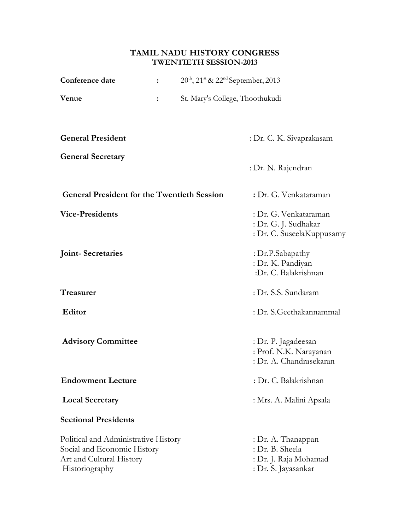#### **TAMIL NADU HISTORY CONGRESS TWENTIETH SESSION-2013**

| Conference date                                                                                                   | $20^{\text{th}}$ , $21^{\text{st}}$ & $22^{\text{nd}}$ September, 2013<br>: |                                                                                       |
|-------------------------------------------------------------------------------------------------------------------|-----------------------------------------------------------------------------|---------------------------------------------------------------------------------------|
| Venue                                                                                                             | St. Mary's College, Thoothukudi<br>$\ddot{\cdot}$                           |                                                                                       |
| <b>General President</b>                                                                                          |                                                                             | : Dr. C. K. Sivaprakasam                                                              |
| <b>General Secretary</b>                                                                                          |                                                                             | : Dr. N. Rajendran                                                                    |
|                                                                                                                   | <b>General President for the Twentieth Session</b>                          | : Dr. G. Venkataraman                                                                 |
| <b>Vice-Presidents</b>                                                                                            |                                                                             | : Dr. G. Venkataraman<br>: Dr. G. J. Sudhakar<br>: Dr. C. SuseelaKuppusamy            |
| <b>Joint-Secretaries</b>                                                                                          |                                                                             | : Dr.P.Sabapathy<br>: Dr. K. Pandiyan<br>:Dr. C. Balakrishnan                         |
| Treasurer                                                                                                         |                                                                             | : Dr. S.S. Sundaram                                                                   |
| Editor                                                                                                            |                                                                             | : Dr. S.Geethakannammal                                                               |
| <b>Advisory Committee</b>                                                                                         |                                                                             | : Dr. P. Jagadeesan<br>: Prof. N.K. Narayanan<br>: Dr. A. Chandrasekaran              |
| <b>Endowment Lecture</b>                                                                                          |                                                                             | : Dr. C. Balakrishnan                                                                 |
| <b>Local Secretary</b>                                                                                            |                                                                             | : Mrs. A. Malini Apsala                                                               |
| <b>Sectional Presidents</b>                                                                                       |                                                                             |                                                                                       |
| Political and Administrative History<br>Social and Economic History<br>Art and Cultural History<br>Historiography |                                                                             | : Dr. A. Thanappan<br>: Dr. B. Sheela<br>: Dr. J. Raja Mohamad<br>: Dr. S. Jayasankar |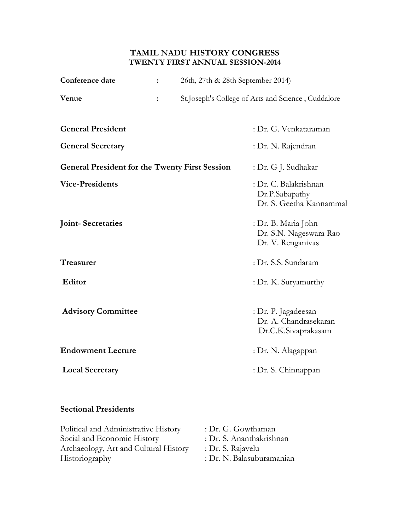#### **TAMIL NADU HISTORY CONGRESS TWENTY FIRST ANNUAL SESSION-2014**

| Conference date                                       | : | 26th, 27th & 28th September 2014) |                                                                     |  |
|-------------------------------------------------------|---|-----------------------------------|---------------------------------------------------------------------|--|
| Venue                                                 | : |                                   | St.Joseph's College of Arts and Science, Cuddalore                  |  |
| <b>General President</b>                              |   |                                   | : Dr. G. Venkataraman                                               |  |
| <b>General Secretary</b>                              |   |                                   | : Dr. N. Rajendran                                                  |  |
| <b>General President for the Twenty First Session</b> |   |                                   | : Dr. G J. Sudhakar                                                 |  |
| <b>Vice-Presidents</b>                                |   |                                   | : Dr. C. Balakrishnan<br>Dr.P.Sabapathy<br>Dr. S. Geetha Kannammal  |  |
| <b>Joint-Secretaries</b>                              |   |                                   | : Dr. B. Maria John<br>Dr. S.N. Nageswara Rao<br>Dr. V. Renganivas  |  |
| <b>Treasurer</b>                                      |   |                                   | : Dr. S.S. Sundaram                                                 |  |
| <b>Editor</b>                                         |   |                                   | : Dr. K. Suryamurthy                                                |  |
| <b>Advisory Committee</b>                             |   |                                   | : Dr. P. Jagadeesan<br>Dr. A. Chandrasekaran<br>Dr.C.K.Sivaprakasam |  |
| <b>Endowment Lecture</b>                              |   |                                   | : Dr. N. Alagappan                                                  |  |
| <b>Local Secretary</b>                                |   |                                   | : Dr. S. Chinnappan                                                 |  |

### **Sectional Presidents**

| Political and Administrative History  | : Dr. G. Gowthaman        |
|---------------------------------------|---------------------------|
| Social and Economic History           | : Dr. S. Ananthakrishnan  |
| Archaeology, Art and Cultural History | : Dr. S. Rajavelu         |
| Historiography                        | : Dr. N. Balasuburamanian |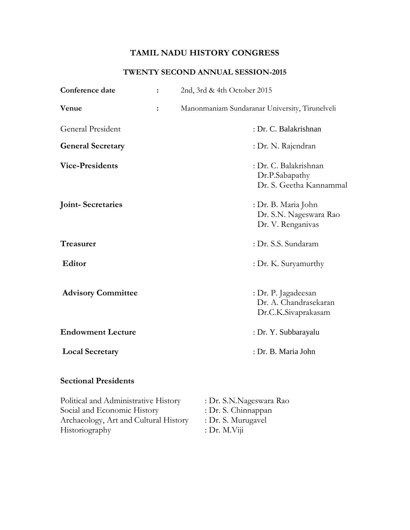#### **TWENTY SECOND ANNUAL SESSION-2015**

| Conference date                                                                                              | :              | 2nd, 3rd & 4th October 2015                                          |  |
|--------------------------------------------------------------------------------------------------------------|----------------|----------------------------------------------------------------------|--|
| Venue                                                                                                        | $\ddot{\cdot}$ | Manonmaniam Sundaranar University, Tirunelveli                       |  |
| General President                                                                                            |                | : Dr. C. Balakrishnan                                                |  |
| <b>General Secretary</b>                                                                                     |                | : Dr. N. Rajendran                                                   |  |
| <b>Vice-Presidents</b>                                                                                       |                | : Dr. C. Balakrishnan<br>Dr.P.Sabapathy<br>Dr. S. Geetha Kannammal   |  |
| <b>Joint-Secretaries</b>                                                                                     |                | : Dr. B. Maria John<br>Dr. S.N. Nageswara Rao<br>Dr. V. Renganivas   |  |
| <b>Treasurer</b>                                                                                             |                | : Dr. S.S. Sundaram                                                  |  |
| <b>Editor</b>                                                                                                |                | : Dr. K. Suryamurthy                                                 |  |
| <b>Advisory Committee</b>                                                                                    |                | : Dr. P. Jagadeesan<br>Dr. A. Chandrasekaran<br>Dr.C.K.Sivaprakasam  |  |
| <b>Endowment Lecture</b>                                                                                     |                | : Dr. Y. Subbarayalu                                                 |  |
| <b>Local Secretary</b>                                                                                       |                | : Dr. B. Maria John                                                  |  |
| <b>Sectional Presidents</b>                                                                                  |                |                                                                      |  |
| Political and Administrative History<br>Social and Economic History<br>Archaeology, Art and Cultural History |                | : Dr. S.N.Nageswara Rao<br>: Dr. S. Chinnappan<br>: Dr. S. Murugavel |  |

Historiography : Dr. M.Viji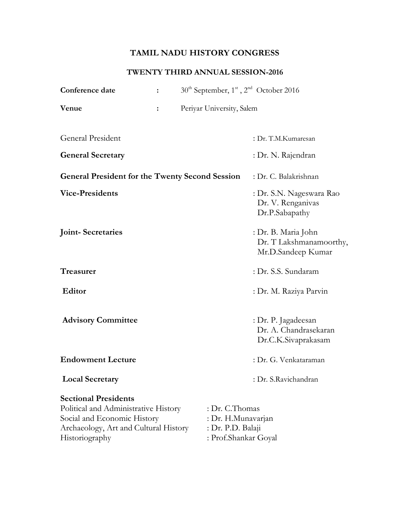## **TWENTY THIRD ANNUAL SESSION-2016**

| Conference date                                                                                                                                               | : |                                                                                   | $30th$ September, $1st$ , $2nd$ October 2016                         |
|---------------------------------------------------------------------------------------------------------------------------------------------------------------|---|-----------------------------------------------------------------------------------|----------------------------------------------------------------------|
| Venue                                                                                                                                                         | : | Periyar University, Salem                                                         |                                                                      |
| <b>General President</b>                                                                                                                                      |   |                                                                                   | : Dr. T.M.Kumaresan                                                  |
| <b>General Secretary</b>                                                                                                                                      |   |                                                                                   | : Dr. N. Rajendran                                                   |
| <b>General President for the Twenty Second Session</b>                                                                                                        |   |                                                                                   | : Dr. C. Balakrishnan                                                |
| <b>Vice-Presidents</b>                                                                                                                                        |   |                                                                                   | : Dr. S.N. Nageswara Rao<br>Dr. V. Renganivas<br>Dr.P.Sabapathy      |
| <b>Joint-Secretaries</b>                                                                                                                                      |   |                                                                                   | : Dr. B. Maria John<br>Dr. T Lakshmanamoorthy,<br>Mr.D.Sandeep Kumar |
| Treasurer                                                                                                                                                     |   |                                                                                   | : Dr. S.S. Sundaram                                                  |
| <b>Editor</b>                                                                                                                                                 |   |                                                                                   | : Dr. M. Raziya Parvin                                               |
| <b>Advisory Committee</b>                                                                                                                                     |   |                                                                                   | : Dr. P. Jagadeesan<br>Dr. A. Chandrasekaran<br>Dr.C.K.Sivaprakasam  |
| <b>Endowment Lecture</b>                                                                                                                                      |   |                                                                                   | : Dr. G. Venkataraman                                                |
| <b>Local Secretary</b>                                                                                                                                        |   |                                                                                   | : Dr. S.Ravichandran                                                 |
| <b>Sectional Presidents</b><br>Political and Administrative History<br>Social and Economic History<br>Archaeology, Art and Cultural History<br>Historiography |   | : Dr. C.Thomas<br>: Dr. H.Munavarjan<br>: Dr. P.D. Balaji<br>: Prof.Shankar Goyal |                                                                      |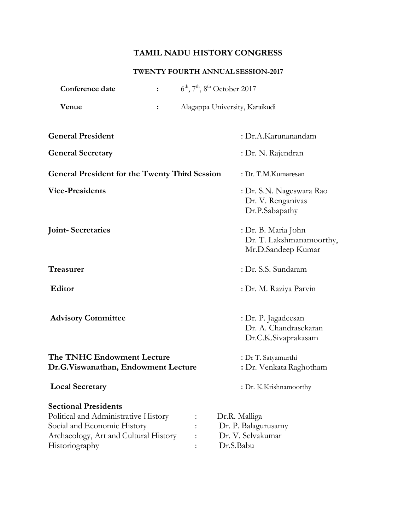#### **TWENTY FOURTH ANNUAL SESSION-2017**

| Conference date                                                                                                                             | $6th$ , 7 <sup>th</sup> , 8 <sup>th</sup> October 2017 |                                                                       |
|---------------------------------------------------------------------------------------------------------------------------------------------|--------------------------------------------------------|-----------------------------------------------------------------------|
| Venue                                                                                                                                       | $\ddot{\cdot}$                                         | Alagappa University, Karaikudi                                        |
| <b>General President</b>                                                                                                                    |                                                        | : Dr.A.Karunanandam                                                   |
| <b>General Secretary</b>                                                                                                                    |                                                        | : Dr. N. Rajendran                                                    |
| <b>General President for the Twenty Third Session</b>                                                                                       |                                                        | : Dr. T.M.Kumaresan                                                   |
| <b>Vice-Presidents</b>                                                                                                                      |                                                        | : Dr. S.N. Nageswara Rao<br>Dr. V. Renganivas<br>Dr.P.Sabapathy       |
| <b>Joint-Secretaries</b>                                                                                                                    |                                                        | : Dr. B. Maria John<br>Dr. T. Lakshmanamoorthy,<br>Mr.D.Sandeep Kumar |
| Treasurer                                                                                                                                   |                                                        | : Dr. S.S. Sundaram                                                   |
| <b>Editor</b>                                                                                                                               |                                                        | : Dr. M. Raziya Parvin                                                |
| <b>Advisory Committee</b>                                                                                                                   |                                                        | : Dr. P. Jagadeesan<br>Dr. A. Chandrasekaran<br>Dr.C.K.Sivaprakasam   |
| The TNHC Endowment Lecture                                                                                                                  |                                                        | : Dr T. Satyamurthi                                                   |
| Dr.G.Viswanathan, Endowment Lecture                                                                                                         |                                                        | : Dr. Venkata Raghotham                                               |
| <b>Local Secretary</b>                                                                                                                      |                                                        | : Dr. K.Krishnamoorthy                                                |
| <b>Sectional Presidents</b><br>Political and Administrative History<br>Social and Economic History<br>Archaeology, Art and Cultural History |                                                        | Dr.R. Malliga<br>Dr. P. Balagurusamy<br>Dr. V. Selvakumar             |
| Historiography                                                                                                                              |                                                        | Dr.S.Babu                                                             |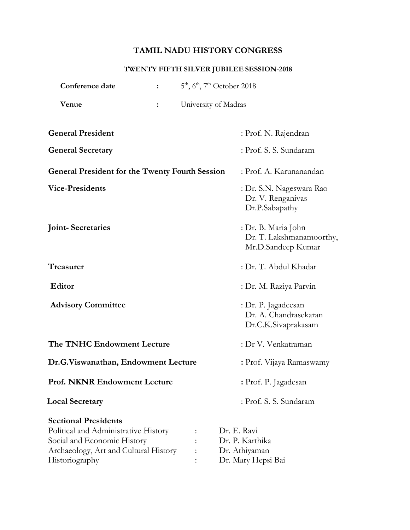# **Conference** date : <sup>th</sup>, 6<sup>th</sup>, 7<sup>th</sup> October 2018 **Venue :** University of Madras **General President** : Prof. N. Rajendran **General Secretary** : Prof. S. S. Sundaram **General President for the Twenty Fourth Session** : Prof. A. Karunanandan **Vice-Presidents** : Dr. S.N. Nageswara Rao Dr. V. Renganivas Dr.P.Sabapathy **Joint- Secretaries** : Dr. B. Maria John Dr. T. Lakshmanamoorthy, Mr.D.Sandeep Kumar **Treasurer** : Dr. T. Abdul Khadar **Editor** : Dr. M. Raziya Parvin **Advisory Committee** : Dr. P. Jagadeesan Dr. A. Chandrasekaran Dr.C.K.Sivaprakasam **The TNHC Endowment Lecture** : Dr V. Venkatraman **Dr.G.Viswanathan, Endowment Lecture :** Prof. Vijaya Ramaswamy **Prof. NKNR Endowment Lecture :** Prof. P. Jagadesan **Local Secretary** : Prof. S. S. Sundaram **Sectional Presidents** Political and Administrative History : Dr. E. Ravi Social and Economic History : Dr. P. Karthika Archaeology, Art and Cultural History : Dr. Athiyaman Historiography : Dr. Mary Hepsi Bai

#### **TWENTY FIFTH SILVER JUBILEE SESSION-2018**